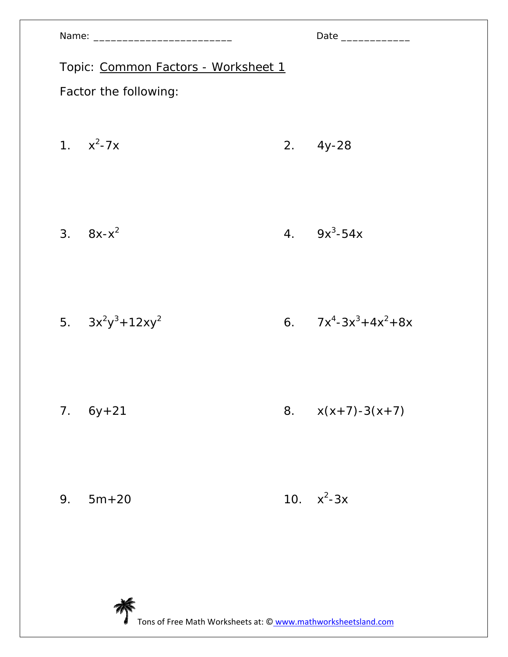|                                     |                       |    | Date ______________    |  |
|-------------------------------------|-----------------------|----|------------------------|--|
| Topic: Common Factors - Worksheet 1 |                       |    |                        |  |
|                                     | Factor the following: |    |                        |  |
|                                     | 1. $x^2-7x$           |    | $2.4y-28$              |  |
|                                     | 3. $8x-x^2$           |    | 4. $9x^3-54x$          |  |
|                                     | 5. $3x^2y^3 + 12xy^2$ |    | 6. $7x^4-3x^3+4x^2+8x$ |  |
|                                     | $7.6y+21$             | 8. | $x(x+7)-3(x+7)$        |  |
| 9.                                  | $5m + 20$             |    | 10. $x^2-3x$           |  |
|                                     |                       |    |                        |  |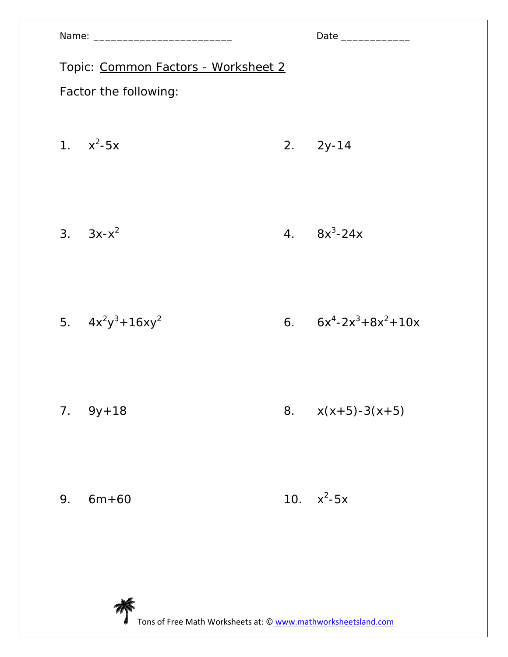|                                     | Date ______________ |                         |  |  |
|-------------------------------------|---------------------|-------------------------|--|--|
| Topic: Common Factors - Worksheet 2 |                     |                         |  |  |
| Factor the following:               |                     |                         |  |  |
| 1. $x^2-5x$                         |                     | $2. \quad 2y-14$        |  |  |
|                                     |                     |                         |  |  |
| 3. $3x-x^2$                         |                     | 4. $8x^3-24x$           |  |  |
|                                     |                     |                         |  |  |
| 5. $4x^2y^3 + 16xy^2$               |                     | 6. $6x^4-2x^3+8x^2+10x$ |  |  |
|                                     |                     |                         |  |  |
| $7.9y+18$                           |                     | 8. $x(x+5)-3(x+5)$      |  |  |
|                                     |                     |                         |  |  |
| 9.<br>$6m + 60$                     |                     | 10. $x^2-5x$            |  |  |
|                                     |                     |                         |  |  |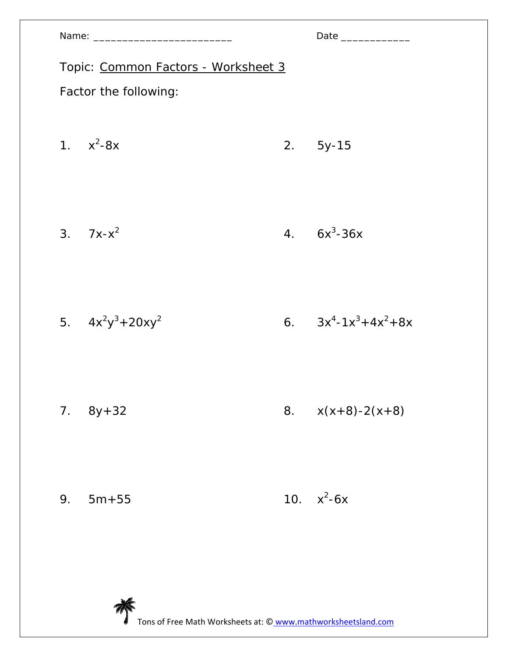|                                     |    | Date ______________    |  |  |
|-------------------------------------|----|------------------------|--|--|
| Topic: Common Factors - Worksheet 3 |    |                        |  |  |
| Factor the following:               |    |                        |  |  |
| 1. $x^2-8x$                         |    | 2. 5y-15               |  |  |
| 3. $7x-x^2$                         |    | 4. $6x^3-36x$          |  |  |
| 5. $4x^2y^3 + 20xy^2$               |    | 6. $3x^4-1x^3+4x^2+8x$ |  |  |
| $7.8y+32$                           | 8. | $x(x+8)-2(x+8)$        |  |  |
| 9.<br>$5m + 55$                     |    | 10. $x^2-6x$           |  |  |
|                                     |    |                        |  |  |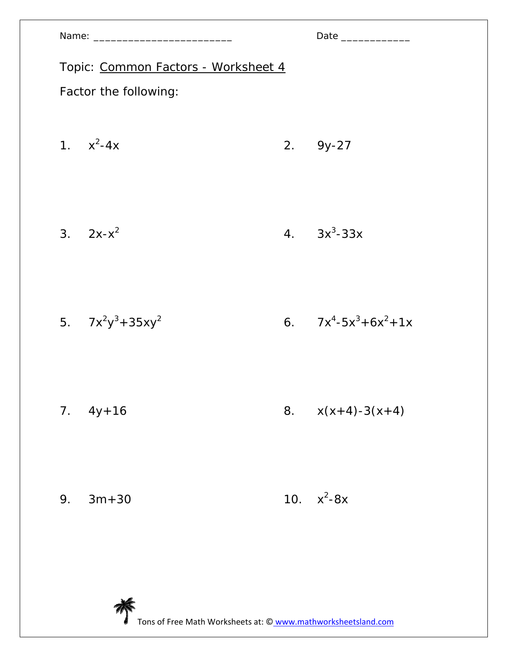|                                     |    | Date _____________     |  |  |
|-------------------------------------|----|------------------------|--|--|
| Topic: Common Factors - Worksheet 4 |    |                        |  |  |
| Factor the following:               |    |                        |  |  |
| 1. $x^2-4x$                         |    | $2.9y-27$              |  |  |
| 3. $2x-x^2$                         |    | 4. $3x^3-33x$          |  |  |
| 5. $7x^2y^3 + 35xy^2$               |    | 6. $7x^4-5x^3+6x^2+1x$ |  |  |
| $7.4y+16$                           | 8. | $x(x+4)-3(x+4)$        |  |  |
| 9.<br>$3m + 30$                     |    | 10. $x^2-8x$           |  |  |
|                                     |    |                        |  |  |